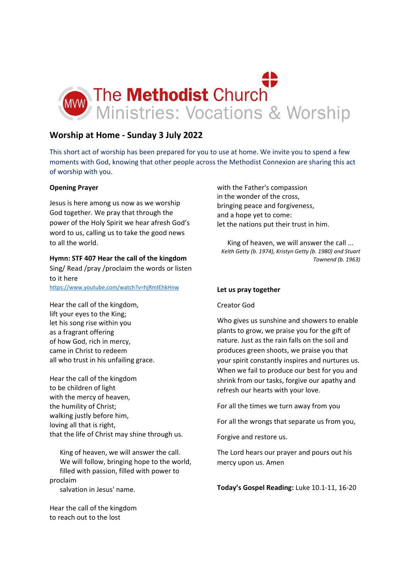

# **Worship at Home - Sunday 3 July 2022**

This short act of worship has been prepared for you to use at home. We invite you to spend a few moments with God, knowing that other people across the Methodist Connexion are sharing this act of worship with you.

# **Opening Prayer**

Jesus is here among us now as we worship God together. We pray that through the power of the Holy Spirit we hear afresh God's word to us, calling us to take the good news to all the world.

# **Hymn: STF 407 Hear the call of the kingdom**

Sing/ Read /pray /proclaim the words or listen to it here <https://www.youtube.com/watch?v=hjRmIEhkHnw>

Hear the call of the kingdom, lift your eyes to the King; let his song rise within you as a fragrant offering of how God, rich in mercy, came in Christ to redeem all who trust in his unfailing grace.

Hear the call of the kingdom to be children of light with the mercy of heaven, the humility of Christ; walking justly before him, loving all that is right, that the life of Christ may shine through us.

 King of heaven, we will answer the call. We will follow, bringing hope to the world, filled with passion, filled with power to proclaim

salvation in Jesus' name.

Hear the call of the kingdom to reach out to the lost

with the Father's compassion in the wonder of the cross, bringing peace and forgiveness, and a hope yet to come: let the nations put their trust in him.

 King of heaven, we will answer the call ... *Keith Getty (b. 1974), Kristyn Getty (b. 1980) and Stuart Townend (b. 1963)*

## **Let us pray together**

## Creator God

Who gives us sunshine and showers to enable plants to grow, we praise you for the gift of nature. Just as the rain falls on the soil and produces green shoots, we praise you that your spirit constantly inspires and nurtures us. When we fail to produce our best for you and shrink from our tasks, forgive our apathy and refresh our hearts with your love.

For all the times we turn away from you

For all the wrongs that separate us from you,

Forgive and restore us.

The Lord hears our prayer and pours out his mercy upon us. Amen

**Today's Gospel Reading:** Luke 10.1-11, 16-20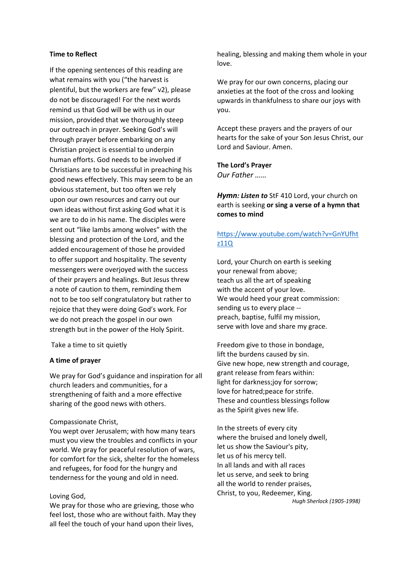## **Time to Reflect**

If the opening sentences of this reading are what remains with you ("the harvest is plentiful, but the workers are few" v2), please do not be discouraged! For the next words remind us that God will be with us in our mission, provided that we thoroughly steep our outreach in prayer. Seeking God's will through prayer before embarking on any Christian project is essential to underpin human efforts. God needs to be involved if Christians are to be successful in preaching his good news effectively. This may seem to be an obvious statement, but too often we rely upon our own resources and carry out our own ideas without first asking God what it is we are to do in his name. The disciples were sent out "like lambs among wolves" with the blessing and protection of the Lord, and the added encouragement of those he provided to offer support and hospitality. The seventy messengers were overjoyed with the success of their prayers and healings. But Jesus threw a note of caution to them, reminding them not to be too self congratulatory but rather to rejoice that they were doing God's work. For we do not preach the gospel in our own strength but in the power of the Holy Spirit.

Take a time to sit quietly

## **A time of prayer**

We pray for God's guidance and inspiration for all church leaders and communities, for a strengthening of faith and a more effective sharing of the good news with others.

#### Compassionate Christ,

You wept over Jerusalem; with how many tears must you view the troubles and conflicts in your world. We pray for peaceful resolution of wars, for comfort for the sick, shelter for the homeless and refugees, for food for the hungry and tenderness for the young and old in need.

#### Loving God,

We pray for those who are grieving, those who feel lost, those who are without faith. May they all feel the touch of your hand upon their lives,

healing, blessing and making them whole in your love.

We pray for our own concerns, placing our anxieties at the foot of the cross and looking upwards in thankfulness to share our joys with you.

Accept these prayers and the prayers of our hearts for the sake of your Son Jesus Christ, our Lord and Saviour. Amen.

#### **The Lord's Prayer**

*Our Father ……*

*Hymn: Listen to* StF 410 Lord, your church on earth is seeking **or sing a verse of a hymn that comes to mind**

# [https://www.youtube.com/watch?v=GnYUfht](https://www.youtube.com/watch?v=GnYUfhtz11Q) [z11Q](https://www.youtube.com/watch?v=GnYUfhtz11Q)

Lord, your Church on earth is seeking your renewal from above; teach us all the art of speaking with the accent of your love. We would heed your great commission: sending us to every place - preach, baptise, fulfil my mission, serve with love and share my grace.

Freedom give to those in bondage, lift the burdens caused by sin. Give new hope, new strength and courage, grant release from fears within: light for darkness;joy for sorrow; love for hatred;peace for strife. These and countless blessings follow as the Spirit gives new life.

In the streets of every city where the bruised and lonely dwell, let us show the Saviour's pity, let us of his mercy tell. In all lands and with all races let us serve, and seek to bring all the world to render praises, Christ, to you, Redeemer, King.

*Hugh Sherlock (1905-1998)*